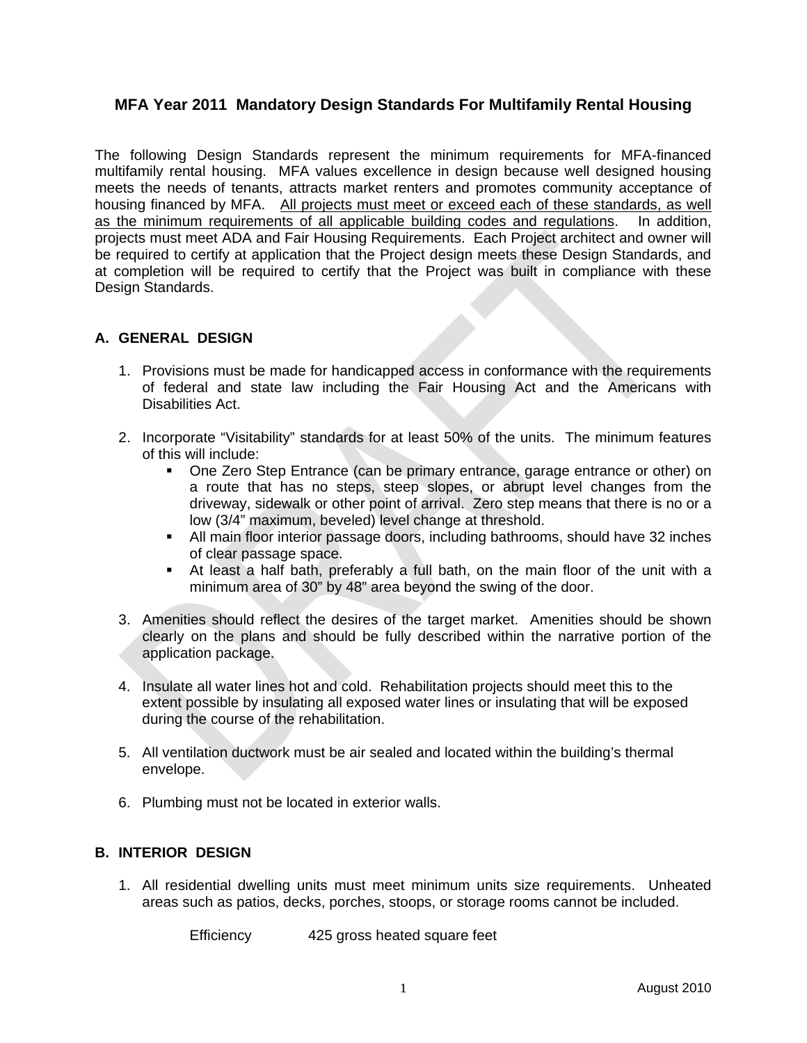# **MFA Year 2011 Mandatory Design Standards For Multifamily Rental Housing**

The following Design Standards represent the minimum requirements for MFA-financed multifamily rental housing. MFA values excellence in design because well designed housing meets the needs of tenants, attracts market renters and promotes community acceptance of housing financed by MFA. All projects must meet or exceed each of these standards, as well as the minimum requirements of all applicable building codes and regulations. In addition, projects must meet ADA and Fair Housing Requirements. Each Project architect and owner will be required to certify at application that the Project design meets these Design Standards, and at completion will be required to certify that the Project was built in compliance with these Design Standards.

### **A. GENERAL DESIGN**

- 1. Provisions must be made for handicapped access in conformance with the requirements of federal and state law including the Fair Housing Act and the Americans with Disabilities Act.
- 2. Incorporate "Visitability" standards for at least 50% of the units. The minimum features of this will include:
	- One Zero Step Entrance (can be primary entrance, garage entrance or other) on a route that has no steps, steep slopes, or abrupt level changes from the driveway, sidewalk or other point of arrival. Zero step means that there is no or a low (3/4" maximum, beveled) level change at threshold.
	- All main floor interior passage doors, including bathrooms, should have 32 inches of clear passage space.
	- At least a half bath, preferably a full bath, on the main floor of the unit with a minimum area of 30" by 48" area beyond the swing of the door.
- 3. Amenities should reflect the desires of the target market. Amenities should be shown clearly on the plans and should be fully described within the narrative portion of the application package.
- 4. Insulate all water lines hot and cold. Rehabilitation projects should meet this to the extent possible by insulating all exposed water lines or insulating that will be exposed during the course of the rehabilitation.
- 5. All ventilation ductwork must be air sealed and located within the building's thermal envelope.
- 6. Plumbing must not be located in exterior walls.

### **B. INTERIOR DESIGN**

1. All residential dwelling units must meet minimum units size requirements. Unheated areas such as patios, decks, porches, stoops, or storage rooms cannot be included.

Efficiency 425 gross heated square feet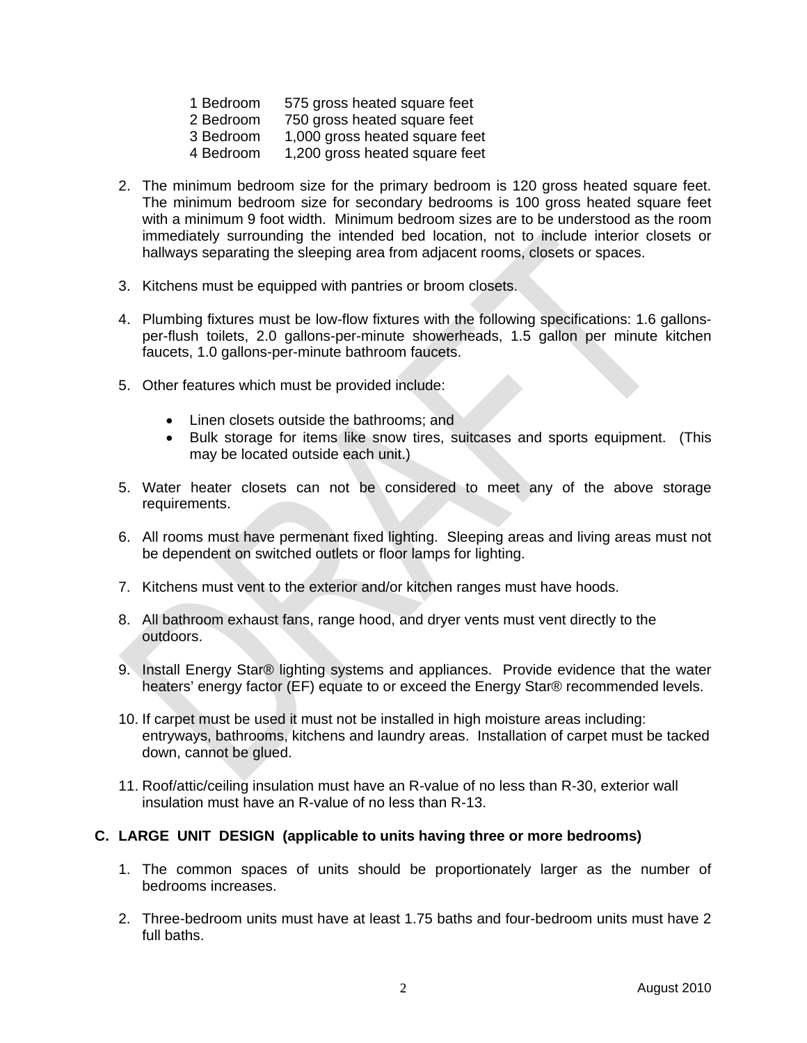- 1 Bedroom 575 gross heated square feet
- 2 Bedroom 750 gross heated square feet
- 3 Bedroom 1,000 gross heated square feet
- 4 Bedroom 1,200 gross heated square feet
- 2. The minimum bedroom size for the primary bedroom is 120 gross heated square feet. The minimum bedroom size for secondary bedrooms is 100 gross heated square feet with a minimum 9 foot width. Minimum bedroom sizes are to be understood as the room immediately surrounding the intended bed location, not to include interior closets or hallways separating the sleeping area from adjacent rooms, closets or spaces.
- 3. Kitchens must be equipped with pantries or broom closets.
- 4. Plumbing fixtures must be low-flow fixtures with the following specifications: 1.6 gallonsper-flush toilets, 2.0 gallons-per-minute showerheads, 1.5 gallon per minute kitchen faucets, 1.0 gallons-per-minute bathroom faucets.
- 5. Other features which must be provided include:
	- Linen closets outside the bathrooms; and
	- Bulk storage for items like snow tires, suitcases and sports equipment. (This may be located outside each unit.)
- 5. Water heater closets can not be considered to meet any of the above storage requirements.
- 6. All rooms must have permenant fixed lighting. Sleeping areas and living areas must not be dependent on switched outlets or floor lamps for lighting.
- 7. Kitchens must vent to the exterior and/or kitchen ranges must have hoods.
- 8. All bathroom exhaust fans, range hood, and dryer vents must vent directly to the outdoors.
- 9. Install Energy Star® lighting systems and appliances. Provide evidence that the water heaters' energy factor (EF) equate to or exceed the Energy Star® recommended levels.
- 10. If carpet must be used it must not be installed in high moisture areas including: entryways, bathrooms, kitchens and laundry areas. Installation of carpet must be tacked down, cannot be glued.
- 11. Roof/attic/ceiling insulation must have an R-value of no less than R-30, exterior wall insulation must have an R-value of no less than R-13.

### **C. LARGE UNIT DESIGN (applicable to units having three or more bedrooms)**

- 1. The common spaces of units should be proportionately larger as the number of bedrooms increases.
- 2. Three-bedroom units must have at least 1.75 baths and four-bedroom units must have 2 full baths.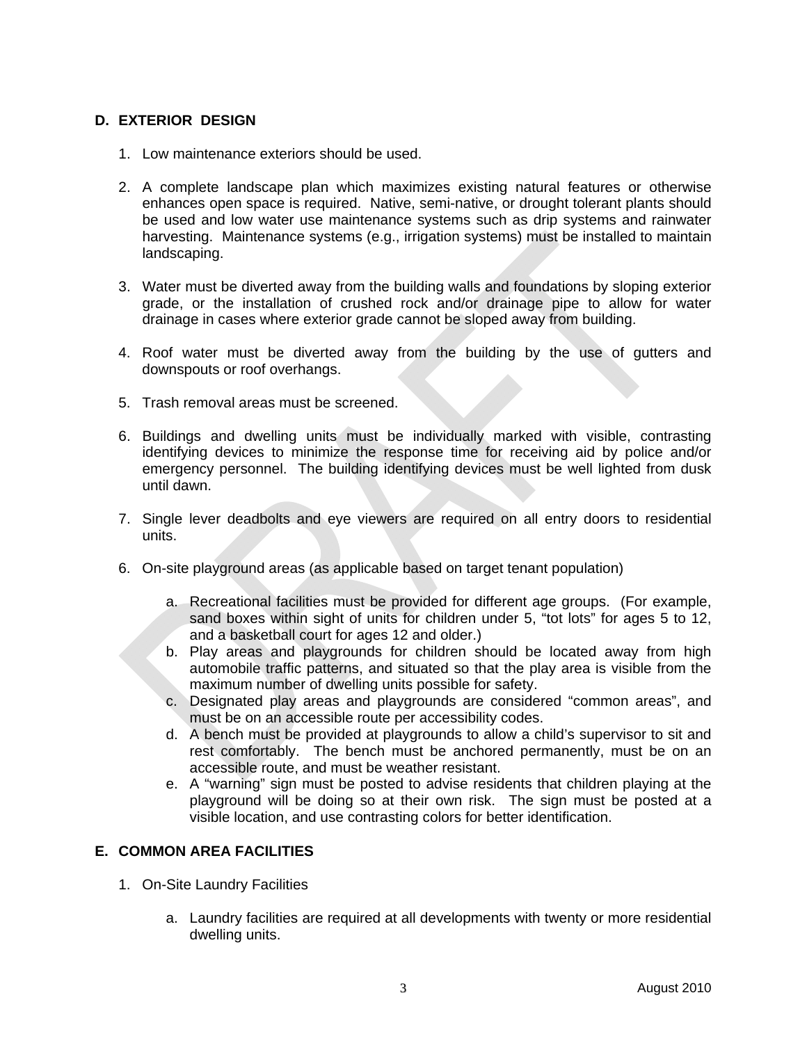## **D. EXTERIOR DESIGN**

- 1. Low maintenance exteriors should be used.
- 2. A complete landscape plan which maximizes existing natural features or otherwise enhances open space is required. Native, semi-native, or drought tolerant plants should be used and low water use maintenance systems such as drip systems and rainwater harvesting. Maintenance systems (e.g., irrigation systems) must be installed to maintain landscaping.
- 3. Water must be diverted away from the building walls and foundations by sloping exterior grade, or the installation of crushed rock and/or drainage pipe to allow for water drainage in cases where exterior grade cannot be sloped away from building.
- 4. Roof water must be diverted away from the building by the use of gutters and downspouts or roof overhangs.
- 5. Trash removal areas must be screened.
- 6. Buildings and dwelling units must be individually marked with visible, contrasting identifying devices to minimize the response time for receiving aid by police and/or emergency personnel. The building identifying devices must be well lighted from dusk until dawn.
- 7. Single lever deadbolts and eye viewers are required on all entry doors to residential units.
- 6. On-site playground areas (as applicable based on target tenant population)
	- a. Recreational facilities must be provided for different age groups. (For example, sand boxes within sight of units for children under 5, "tot lots" for ages 5 to 12, and a basketball court for ages 12 and older.)
	- b. Play areas and playgrounds for children should be located away from high automobile traffic patterns, and situated so that the play area is visible from the maximum number of dwelling units possible for safety.
	- c. Designated play areas and playgrounds are considered "common areas", and must be on an accessible route per accessibility codes.
	- d. A bench must be provided at playgrounds to allow a child's supervisor to sit and rest comfortably. The bench must be anchored permanently, must be on an accessible route, and must be weather resistant.
	- e. A "warning" sign must be posted to advise residents that children playing at the playground will be doing so at their own risk. The sign must be posted at a visible location, and use contrasting colors for better identification.

### **E. COMMON AREA FACILITIES**

- 1. On-Site Laundry Facilities
	- a. Laundry facilities are required at all developments with twenty or more residential dwelling units.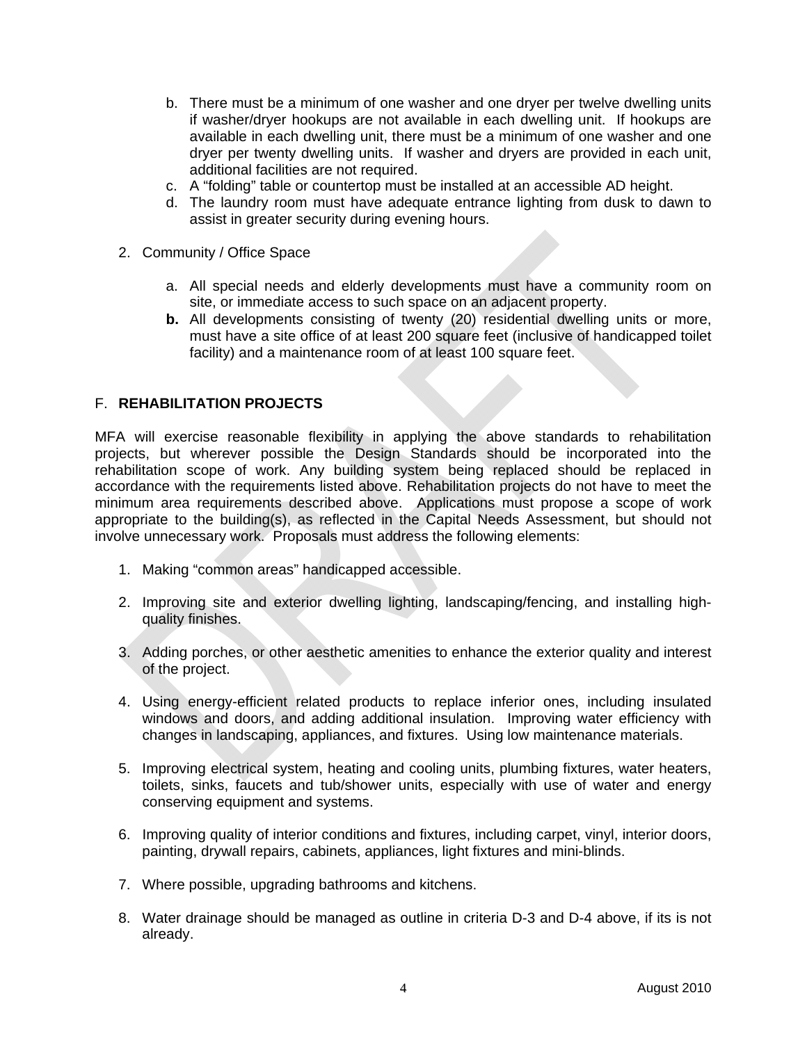- b. There must be a minimum of one washer and one dryer per twelve dwelling units if washer/dryer hookups are not available in each dwelling unit. If hookups are available in each dwelling unit, there must be a minimum of one washer and one dryer per twenty dwelling units. If washer and dryers are provided in each unit, additional facilities are not required.
- c. A "folding" table or countertop must be installed at an accessible AD height.
- d. The laundry room must have adequate entrance lighting from dusk to dawn to assist in greater security during evening hours.
- 2. Community / Office Space
	- a. All special needs and elderly developments must have a community room on site, or immediate access to such space on an adjacent property.
	- **b.** All developments consisting of twenty (20) residential dwelling units or more, must have a site office of at least 200 square feet (inclusive of handicapped toilet facility) and a maintenance room of at least 100 square feet.

#### F. **REHABILITATION PROJECTS**

MFA will exercise reasonable flexibility in applying the above standards to rehabilitation projects, but wherever possible the Design Standards should be incorporated into the rehabilitation scope of work. Any building system being replaced should be replaced in accordance with the requirements listed above. Rehabilitation projects do not have to meet the minimum area requirements described above. Applications must propose a scope of work appropriate to the building(s), as reflected in the Capital Needs Assessment, but should not involve unnecessary work. Proposals must address the following elements:

- 1. Making "common areas" handicapped accessible.
- 2. Improving site and exterior dwelling lighting, landscaping/fencing, and installing highquality finishes.
- 3. Adding porches, or other aesthetic amenities to enhance the exterior quality and interest of the project.
- 4. Using energy-efficient related products to replace inferior ones, including insulated windows and doors, and adding additional insulation. Improving water efficiency with changes in landscaping, appliances, and fixtures. Using low maintenance materials.
- 5. Improving electrical system, heating and cooling units, plumbing fixtures, water heaters, toilets, sinks, faucets and tub/shower units, especially with use of water and energy conserving equipment and systems.
- 6. Improving quality of interior conditions and fixtures, including carpet, vinyl, interior doors, painting, drywall repairs, cabinets, appliances, light fixtures and mini-blinds.
- 7. Where possible, upgrading bathrooms and kitchens.
- 8. Water drainage should be managed as outline in criteria D-3 and D-4 above, if its is not already.